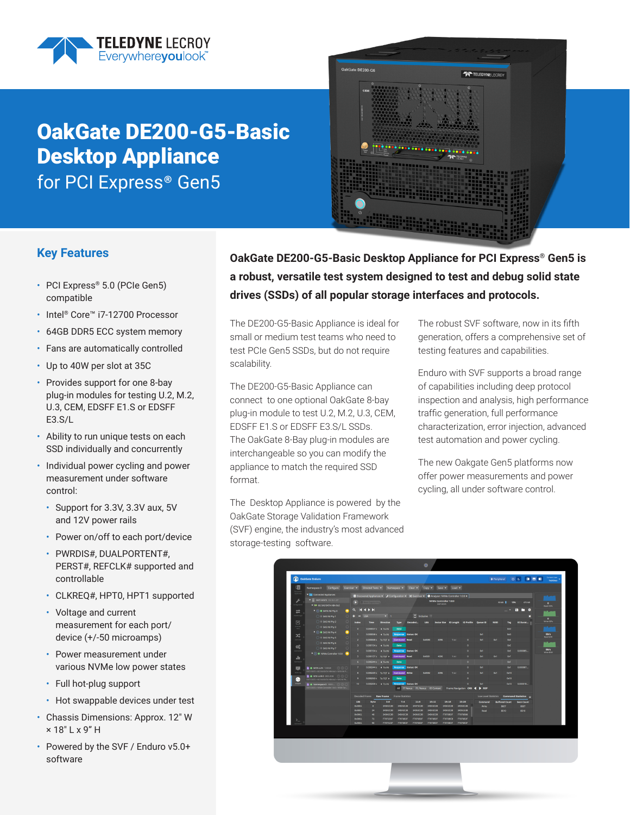

# OakGate DE200-G5-Basic Desktop Appliance for PCI Express<sup>®</sup> Gen5



### **Key Features**

- PCI Express® 5.0 (PCIe Gen5) compatible
- Intel® Core™ i7-12700 Processor
- 64GB DDR5 ECC system memory
- Fans are automatically controlled
- Up to 40W per slot at 35C
- Provides support for one 8-bay plug-in modules for testing U.2, M.2, U.3, CEM, EDSFF E1.S or EDSFF E3.S/L
- Ability to run unique tests on each SSD individually and concurrently
- Individual power cycling and power measurement under software control:
	- Support for 3.3V, 3.3V aux, 5V and 12V power rails
	- Power on/off to each port/device
	- PWRDIS#, DUALPORTENT#, PERST#, REFCLK# supported and controllable
	- CLKREQ#, HPT0, HPT1 supported
	- Voltage and current measurement for each port/ device (+/-50 microamps)
	- Power measurement under various NVMe low power states
	- Full hot-plug support
	- Hot swappable devices under test
- Chassis Dimensions: Approx. 12" W × 18" L x 9" H
- Powered by the SVF / Enduro v5.0+ software

**OakGate DE200-G5-Basic Desktop Appliance for PCI Express® Gen5 is a robust, versatile test system designed to test and debug solid state drives (SSDs) of all popular storage interfaces and protocols.**

The DE200-G5-Basic Appliance is ideal for small or medium test teams who need to test PCIe Gen5 SSDs, but do not require scalability.

The DE200-G5-Basic Appliance can connect to one optional OakGate 8-bay plug-in module to test U.2, M.2, U.3, CEM, EDSFF E1.S or EDSFF E3.S/L SSDs. The OakGate 8-Bay plug-in modules are interchangeable so you can modify the appliance to match the required SSD format.

The Desktop Appliance is powered by the OakGate Storage Validation Framework (SVF) engine, the industry's most advanced storage-testing software.

The robust SVF software, now in its fifth generation, offers a comprehensive set of testing features and capabilities.

Enduro with SVF supports a broad range of capabilities including deep protocol inspection and analysis, high performance traffic generation, full performance characterization, error injection, advanced test automation and power cycling.

The new Oakgate Gen5 platforms now offer power measurements and power cycling, all under software control.